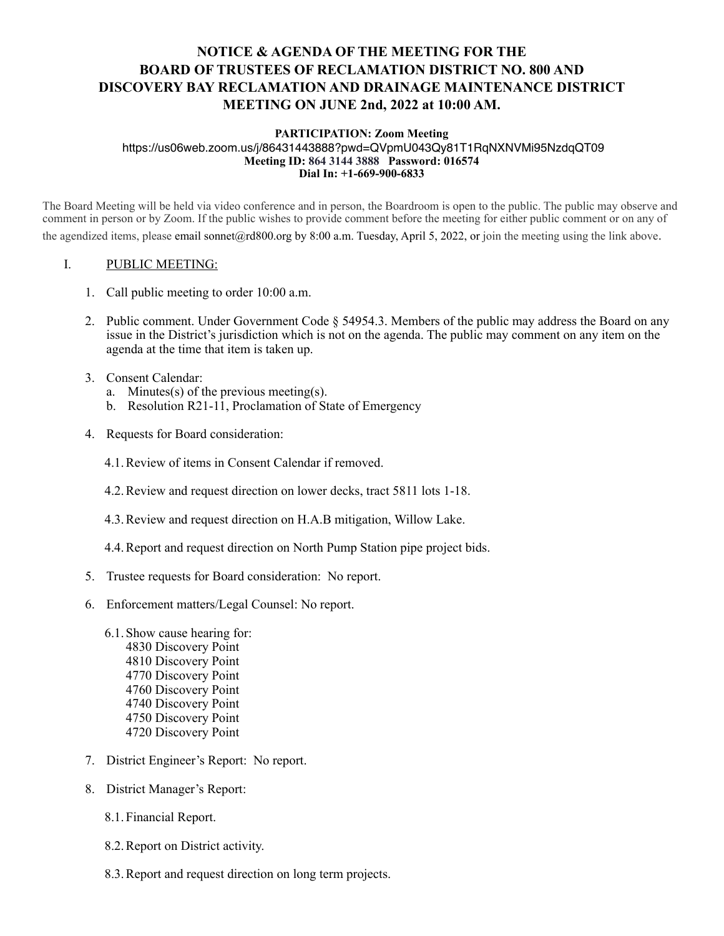## **NOTICE & AGENDA OF THE MEETING FOR THE BOARD OF TRUSTEES OF RECLAMATION DISTRICT NO. 800 AND DISCOVERY BAY RECLAMATION AND DRAINAGE MAINTENANCE DISTRICT MEETING ON JUNE 2nd, 2022 at 10:00 AM.**

## **PARTICIPATION: Zoom Meeting**

https://us06web.zoom.us/j/86431443888?pwd=QVpmU043Qy81T1RqNXNVMi95NzdqQT09 **Meeting ID: 864 3144 3888 Password: 016574 Dial In: +1-669-900-6833** 

The Board Meeting will be held via video conference and in person, the Boardroom is open to the public. The public may observe and comment in person or by Zoom. If the public wishes to provide comment before the meeting for either public comment or on any of the agendized items, please email sonnet@rd800.org by 8:00 a.m. Tuesday, April 5, 2022, or join the meeting using the link above.

## I. PUBLIC MEETING:

- 1. Call public meeting to order 10:00 a.m.
- 2. Public comment. Under Government Code § 54954.3. Members of the public may address the Board on any issue in the District's jurisdiction which is not on the agenda. The public may comment on any item on the agenda at the time that item is taken up.
- 3. Consent Calendar:
	- a. Minutes(s) of the previous meeting(s).
	- b. Resolution R21-11, Proclamation of State of Emergency
- 4. Requests for Board consideration:
	- 4.1.Review of items in Consent Calendar if removed.
	- 4.2.Review and request direction on lower decks, tract 5811 lots 1-18.
	- 4.3.Review and request direction on H.A.B mitigation, Willow Lake.
	- 4.4.Report and request direction on North Pump Station pipe project bids.
- 5. Trustee requests for Board consideration: No report.
- 6. Enforcement matters/Legal Counsel: No report.
	- 6.1.Show cause hearing for: 4830 Discovery Point 4810 Discovery Point 4770 Discovery Point 4760 Discovery Point 4740 Discovery Point 4750 Discovery Point 4720 Discovery Point
- 7. District Engineer's Report: No report.
- 8. District Manager's Report:
	- 8.1.Financial Report.
	- 8.2.Report on District activity.
	- 8.3.Report and request direction on long term projects.